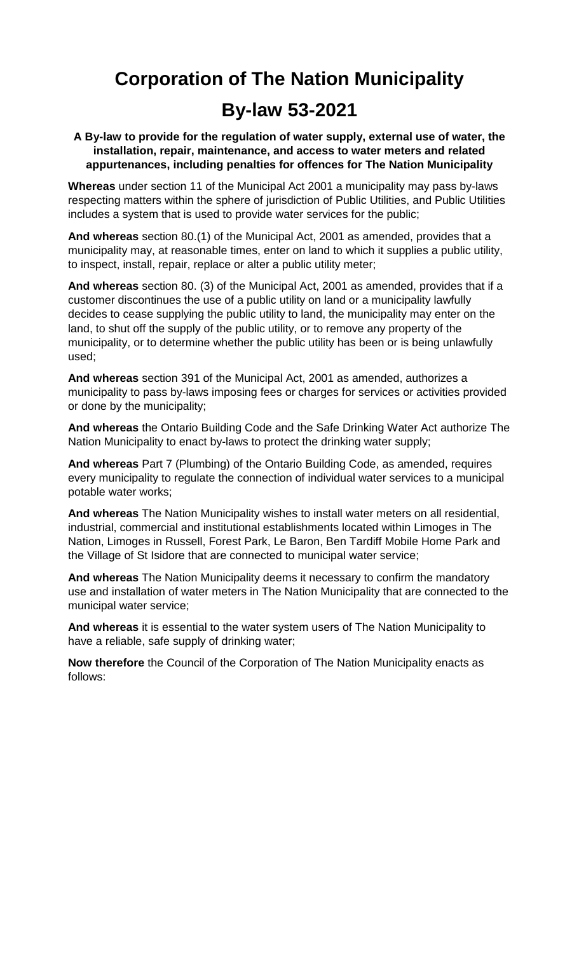# **Corporation of The Nation Municipality By-law 53-2021**

**A By-law to provide for the regulation of water supply, external use of water, the installation, repair, maintenance, and access to water meters and related appurtenances, including penalties for offences for The Nation Municipality**

**Whereas** under section 11 of the Municipal Act 2001 a municipality may pass by-laws respecting matters within the sphere of jurisdiction of Public Utilities, and Public Utilities includes a system that is used to provide water services for the public;

**And whereas** section 80.(1) of the Municipal Act, 2001 as amended, provides that a municipality may, at reasonable times, enter on land to which it supplies a public utility, to inspect, install, repair, replace or alter a public utility meter;

**And whereas** section 80. (3) of the Municipal Act, 2001 as amended, provides that if a customer discontinues the use of a public utility on land or a municipality lawfully decides to cease supplying the public utility to land, the municipality may enter on the land, to shut off the supply of the public utility, or to remove any property of the municipality, or to determine whether the public utility has been or is being unlawfully used;

**And whereas** section 391 of the Municipal Act, 2001 as amended, authorizes a municipality to pass by-laws imposing fees or charges for services or activities provided or done by the municipality;

**And whereas** the Ontario Building Code and the Safe Drinking Water Act authorize The Nation Municipality to enact by-laws to protect the drinking water supply;

**And whereas** Part 7 (Plumbing) of the Ontario Building Code, as amended, requires every municipality to regulate the connection of individual water services to a municipal potable water works;

**And whereas** The Nation Municipality wishes to install water meters on all residential, industrial, commercial and institutional establishments located within Limoges in The Nation, Limoges in Russell, Forest Park, Le Baron, Ben Tardiff Mobile Home Park and the Village of St Isidore that are connected to municipal water service;

**And whereas** The Nation Municipality deems it necessary to confirm the mandatory use and installation of water meters in The Nation Municipality that are connected to the municipal water service;

**And whereas** it is essential to the water system users of The Nation Municipality to have a reliable, safe supply of drinking water;

**Now therefore** the Council of the Corporation of The Nation Municipality enacts as follows: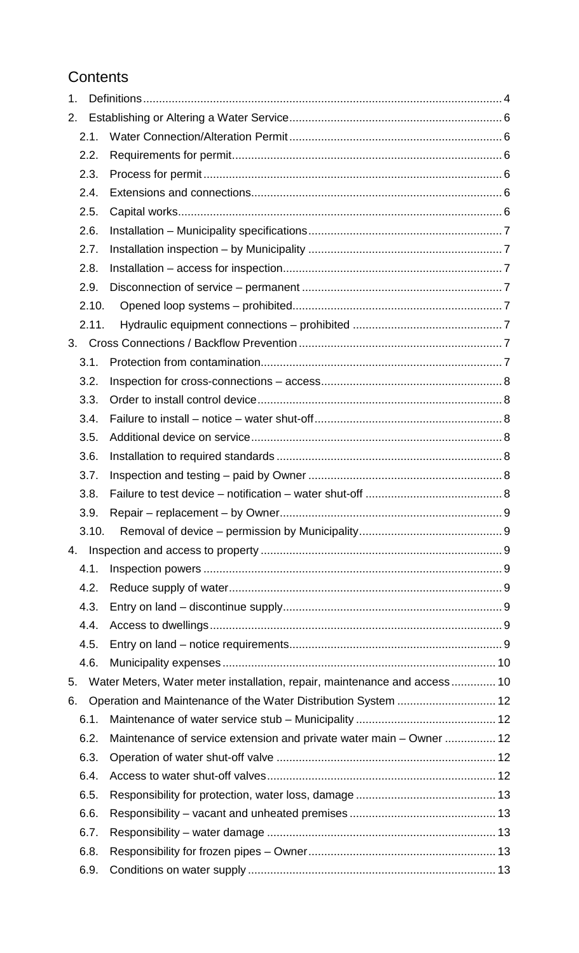## **Contents**

| 1.    |                                                                           |  |
|-------|---------------------------------------------------------------------------|--|
| 2.    |                                                                           |  |
| 2.1.  |                                                                           |  |
| 2.2.  |                                                                           |  |
| 2.3.  |                                                                           |  |
| 2.4.  |                                                                           |  |
| 2.5.  |                                                                           |  |
| 2.6.  |                                                                           |  |
| 2.7.  |                                                                           |  |
| 2.8.  |                                                                           |  |
| 2.9.  |                                                                           |  |
| 2.10. |                                                                           |  |
| 2.11. |                                                                           |  |
|       |                                                                           |  |
| 3.1.  |                                                                           |  |
| 3.2.  |                                                                           |  |
| 3.3.  |                                                                           |  |
| 3.4.  |                                                                           |  |
| 3.5.  |                                                                           |  |
| 3.6.  |                                                                           |  |
| 3.7.  |                                                                           |  |
| 3.8.  |                                                                           |  |
| 3.9.  |                                                                           |  |
| 3.10. |                                                                           |  |
| 4.    |                                                                           |  |
| 4.1.  |                                                                           |  |
| 4.2.  |                                                                           |  |
| 4.3.  |                                                                           |  |
| 4.4.  |                                                                           |  |
| 4.5.  |                                                                           |  |
| 4.6.  |                                                                           |  |
| 5.    | Water Meters, Water meter installation, repair, maintenance and access 10 |  |
| 6.    |                                                                           |  |
| 6.1.  |                                                                           |  |
| 6.2.  | Maintenance of service extension and private water main - Owner  12       |  |
| 6.3.  |                                                                           |  |
| 6.4.  |                                                                           |  |
| 6.5.  |                                                                           |  |
| 6.6.  |                                                                           |  |
| 6.7.  |                                                                           |  |
| 6.8.  |                                                                           |  |
| 6.9.  |                                                                           |  |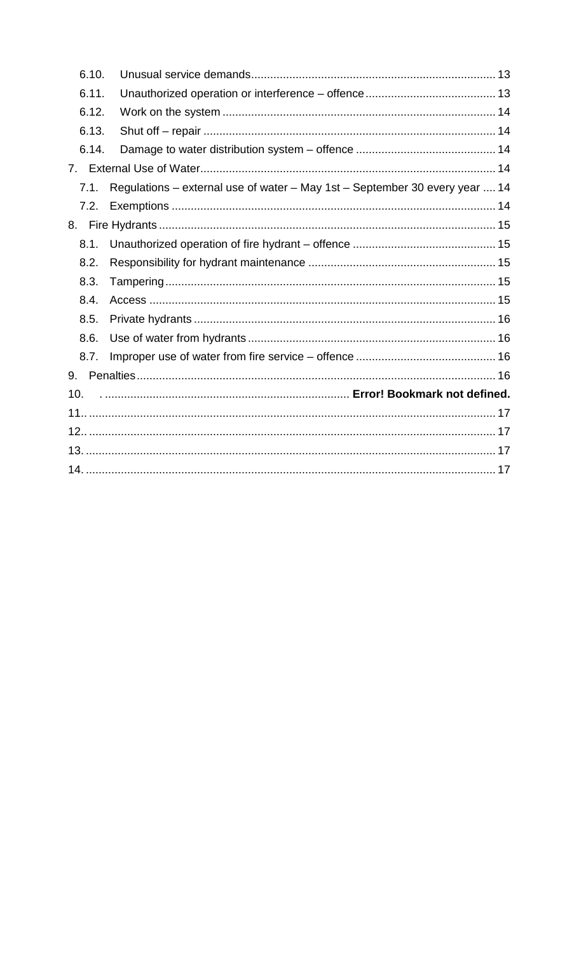| 6.10. |                                                                             |
|-------|-----------------------------------------------------------------------------|
| 6.11. |                                                                             |
| 6.12. |                                                                             |
| 6.13. |                                                                             |
| 6.14. |                                                                             |
| 7.    |                                                                             |
| 7.1.  | Regulations - external use of water - May 1st - September 30 every year  14 |
| 7.2.  |                                                                             |
| 8.    |                                                                             |
| 8.1.  |                                                                             |
| 8.2.  |                                                                             |
| 8.3.  |                                                                             |
| 8.4.  |                                                                             |
| 8.5.  |                                                                             |
| 8.6.  |                                                                             |
| 8.7.  |                                                                             |
| 9.    |                                                                             |
| 10.   |                                                                             |
|       |                                                                             |
|       |                                                                             |
|       |                                                                             |
|       |                                                                             |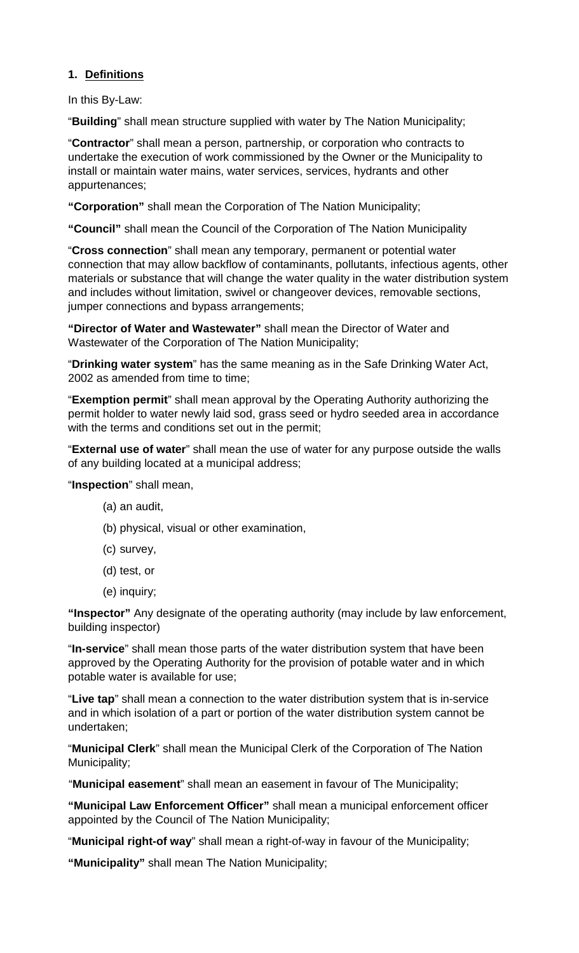## <span id="page-3-0"></span>**1. Definitions**

In this By-Law:

"**Building**" shall mean structure supplied with water by The Nation Municipality;

"**Contractor**" shall mean a person, partnership, or corporation who contracts to undertake the execution of work commissioned by the Owner or the Municipality to install or maintain water mains, water services, services, hydrants and other appurtenances;

**"Corporation"** shall mean the Corporation of The Nation Municipality;

**"Council"** shall mean the Council of the Corporation of The Nation Municipality

"**Cross connection**" shall mean any temporary, permanent or potential water connection that may allow backflow of contaminants, pollutants, infectious agents, other materials or substance that will change the water quality in the water distribution system and includes without limitation, swivel or changeover devices, removable sections, jumper connections and bypass arrangements;

**"Director of Water and Wastewater"** shall mean the Director of Water and Wastewater of the Corporation of The Nation Municipality;

"**Drinking water system**" has the same meaning as in the Safe Drinking Water Act, 2002 as amended from time to time;

"**Exemption permit**" shall mean approval by the Operating Authority authorizing the permit holder to water newly laid sod, grass seed or hydro seeded area in accordance with the terms and conditions set out in the permit;

"**External use of water**" shall mean the use of water for any purpose outside the walls of any building located at a municipal address;

"**Inspection**" shall mean,

- (a) an audit,
- (b) physical, visual or other examination,
- (c) survey,
- (d) test, or
- (e) inquiry;

**"Inspector"** Any designate of the operating authority (may include by law enforcement, building inspector)

"**In-service**" shall mean those parts of the water distribution system that have been approved by the Operating Authority for the provision of potable water and in which potable water is available for use;

"**Live tap**" shall mean a connection to the water distribution system that is in-service and in which isolation of a part or portion of the water distribution system cannot be undertaken;

"**Municipal Clerk**" shall mean the Municipal Clerk of the Corporation of The Nation Municipality;

"**Municipal easement**" shall mean an easement in favour of The Municipality;

**"Municipal Law Enforcement Officer"** shall mean a municipal enforcement officer appointed by the Council of The Nation Municipality;

"**Municipal right-of way**" shall mean a right-of-way in favour of the Municipality;

**"Municipality"** shall mean The Nation Municipality;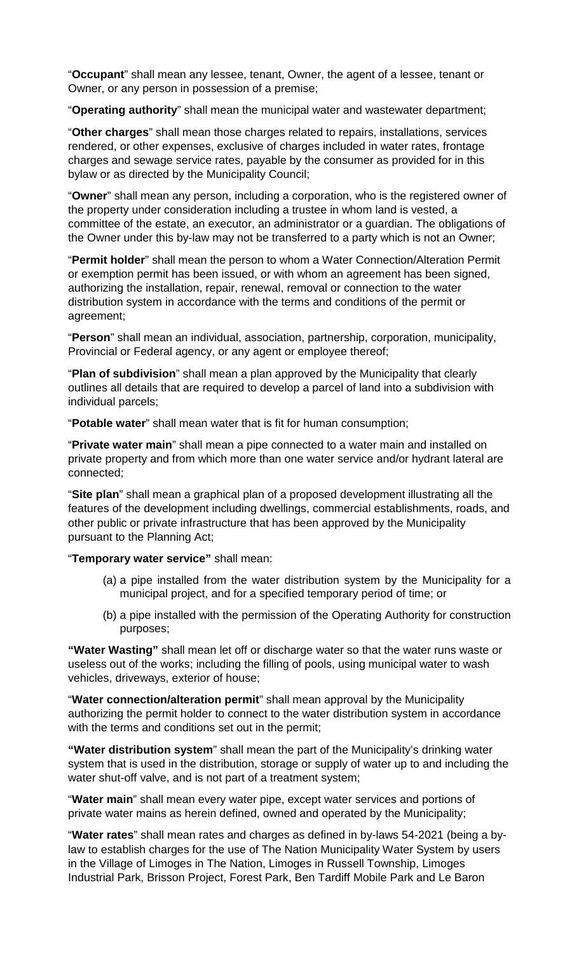"**Occupant**" shall mean any lessee, tenant, Owner, the agent of a lessee, tenant or Owner, or any person in possession of a premise;

"**Operating authority**" shall mean the municipal water and wastewater department;

"**Other charges**" shall mean those charges related to repairs, installations, services rendered, or other expenses, exclusive of charges included in water rates, frontage charges and sewage service rates, payable by the consumer as provided for in this bylaw or as directed by the Municipality Council;

"**Owner**" shall mean any person, including a corporation, who is the registered owner of the property under consideration including a trustee in whom land is vested, a committee of the estate, an executor, an administrator or a guardian. The obligations of the Owner under this by-law may not be transferred to a party which is not an Owner;

"**Permit holder**" shall mean the person to whom a Water Connection/Alteration Permit or exemption permit has been issued, or with whom an agreement has been signed, authorizing the installation, repair, renewal, removal or connection to the water distribution system in accordance with the terms and conditions of the permit or agreement;

"**Person**" shall mean an individual, association, partnership, corporation, municipality, Provincial or Federal agency, or any agent or employee thereof;

"**Plan of subdivision**" shall mean a plan approved by the Municipality that clearly outlines all details that are required to develop a parcel of land into a subdivision with individual parcels;

"**Potable water**" shall mean water that is fit for human consumption;

"**Private water main**" shall mean a pipe connected to a water main and installed on private property and from which more than one water service and/or hydrant lateral are connected;

"**Site plan**" shall mean a graphical plan of a proposed development illustrating all the features of the development including dwellings, commercial establishments, roads, and other public or private infrastructure that has been approved by the Municipality pursuant to the Planning Act;

"**Temporary water service"** shall mean:

- (a) a pipe installed from the water distribution system by the Municipality for a municipal project, and for a specified temporary period of time; or
- (b) a pipe installed with the permission of the Operating Authority for construction purposes;

**"Water Wasting"** shall mean let off or discharge water so that the water runs waste or useless out of the works; including the filling of pools, using municipal water to wash vehicles, driveways, exterior of house;

"**Water connection/alteration permit**" shall mean approval by the Municipality authorizing the permit holder to connect to the water distribution system in accordance with the terms and conditions set out in the permit;

**"Water distribution system**" shall mean the part of the Municipality's drinking water system that is used in the distribution, storage or supply of water up to and including the water shut-off valve, and is not part of a treatment system;

"**Water main**" shall mean every water pipe, except water services and portions of private water mains as herein defined, owned and operated by the Municipality;

"**Water rates**" shall mean rates and charges as defined in by-laws 54-2021 (being a bylaw to establish charges for the use of The Nation Municipality Water System by users in the Village of Limoges in The Nation, Limoges in Russell Township, Limoges Industrial Park, Brisson Project, Forest Park, Ben Tardiff Mobile Park and Le Baron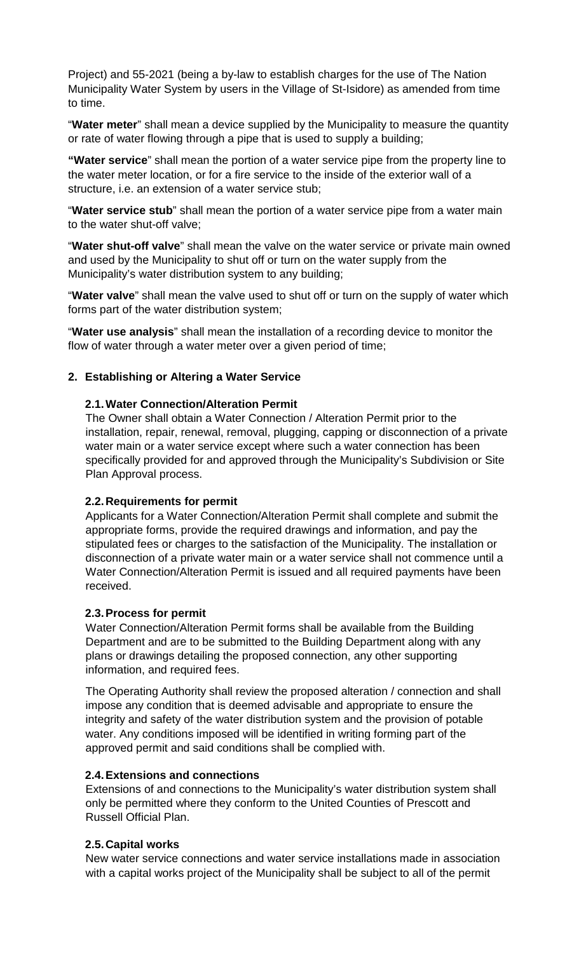Project) and 55-2021 (being a by-law to establish charges for the use of The Nation Municipality Water System by users in the Village of St-Isidore) as amended from time to time.

"**Water meter**" shall mean a device supplied by the Municipality to measure the quantity or rate of water flowing through a pipe that is used to supply a building;

**"Water service**" shall mean the portion of a water service pipe from the property line to the water meter location, or for a fire service to the inside of the exterior wall of a structure, i.e. an extension of a water service stub;

"**Water service stub**" shall mean the portion of a water service pipe from a water main to the water shut-off valve;

"**Water shut-off valve**" shall mean the valve on the water service or private main owned and used by the Municipality to shut off or turn on the water supply from the Municipality's water distribution system to any building;

"**Water valve**" shall mean the valve used to shut off or turn on the supply of water which forms part of the water distribution system;

"**Water use analysis**" shall mean the installation of a recording device to monitor the flow of water through a water meter over a given period of time;

#### <span id="page-5-1"></span><span id="page-5-0"></span>**2. Establishing or Altering a Water Service**

#### **2.1.Water Connection/Alteration Permit**

The Owner shall obtain a Water Connection / Alteration Permit prior to the installation, repair, renewal, removal, plugging, capping or disconnection of a private water main or a water service except where such a water connection has been specifically provided for and approved through the Municipality's Subdivision or Site Plan Approval process.

#### <span id="page-5-2"></span>**2.2.Requirements for permit**

Applicants for a Water Connection/Alteration Permit shall complete and submit the appropriate forms, provide the required drawings and information, and pay the stipulated fees or charges to the satisfaction of the Municipality. The installation or disconnection of a private water main or a water service shall not commence until a Water Connection/Alteration Permit is issued and all required payments have been received.

#### <span id="page-5-3"></span>**2.3.Process for permit**

Water Connection/Alteration Permit forms shall be available from the Building Department and are to be submitted to the Building Department along with any plans or drawings detailing the proposed connection, any other supporting information, and required fees.

The Operating Authority shall review the proposed alteration / connection and shall impose any condition that is deemed advisable and appropriate to ensure the integrity and safety of the water distribution system and the provision of potable water. Any conditions imposed will be identified in writing forming part of the approved permit and said conditions shall be complied with.

#### <span id="page-5-4"></span>**2.4.Extensions and connections**

Extensions of and connections to the Municipality's water distribution system shall only be permitted where they conform to the United Counties of Prescott and Russell Official Plan.

## <span id="page-5-5"></span>**2.5.Capital works**

New water service connections and water service installations made in association with a capital works project of the Municipality shall be subject to all of the permit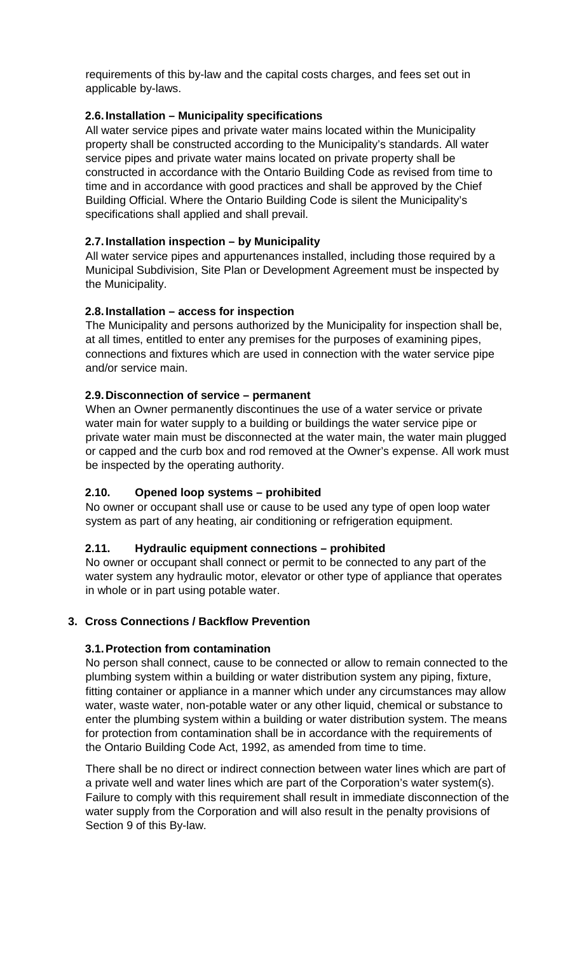requirements of this by-law and the capital costs charges, and fees set out in applicable by-laws.

## <span id="page-6-0"></span>**2.6.Installation – Municipality specifications**

All water service pipes and private water mains located within the Municipality property shall be constructed according to the Municipality's standards. All water service pipes and private water mains located on private property shall be constructed in accordance with the Ontario Building Code as revised from time to time and in accordance with good practices and shall be approved by the Chief Building Official. Where the Ontario Building Code is silent the Municipality's specifications shall applied and shall prevail.

## <span id="page-6-1"></span>**2.7.Installation inspection – by Municipality**

All water service pipes and appurtenances installed, including those required by a Municipal Subdivision, Site Plan or Development Agreement must be inspected by the Municipality.

## <span id="page-6-2"></span>**2.8.Installation – access for inspection**

The Municipality and persons authorized by the Municipality for inspection shall be, at all times, entitled to enter any premises for the purposes of examining pipes, connections and fixtures which are used in connection with the water service pipe and/or service main.

## <span id="page-6-3"></span>**2.9.Disconnection of service – permanent**

When an Owner permanently discontinues the use of a water service or private water main for water supply to a building or buildings the water service pipe or private water main must be disconnected at the water main, the water main plugged or capped and the curb box and rod removed at the Owner's expense. All work must be inspected by the operating authority.

## <span id="page-6-4"></span>**2.10. Opened loop systems – prohibited**

No owner or occupant shall use or cause to be used any type of open loop water system as part of any heating, air conditioning or refrigeration equipment.

## <span id="page-6-5"></span>**2.11. Hydraulic equipment connections – prohibited**

No owner or occupant shall connect or permit to be connected to any part of the water system any hydraulic motor, elevator or other type of appliance that operates in whole or in part using potable water.

## <span id="page-6-7"></span><span id="page-6-6"></span>**3. Cross Connections / Backflow Prevention**

## **3.1.Protection from contamination**

No person shall connect, cause to be connected or allow to remain connected to the plumbing system within a building or water distribution system any piping, fixture, fitting container or appliance in a manner which under any circumstances may allow water, waste water, non-potable water or any other liquid, chemical or substance to enter the plumbing system within a building or water distribution system. The means for protection from contamination shall be in accordance with the requirements of the Ontario Building Code Act, 1992, as amended from time to time.

There shall be no direct or indirect connection between water lines which are part of a private well and water lines which are part of the Corporation's water system(s). Failure to comply with this requirement shall result in immediate disconnection of the water supply from the Corporation and will also result in the penalty provisions of Section 9 of this By-law.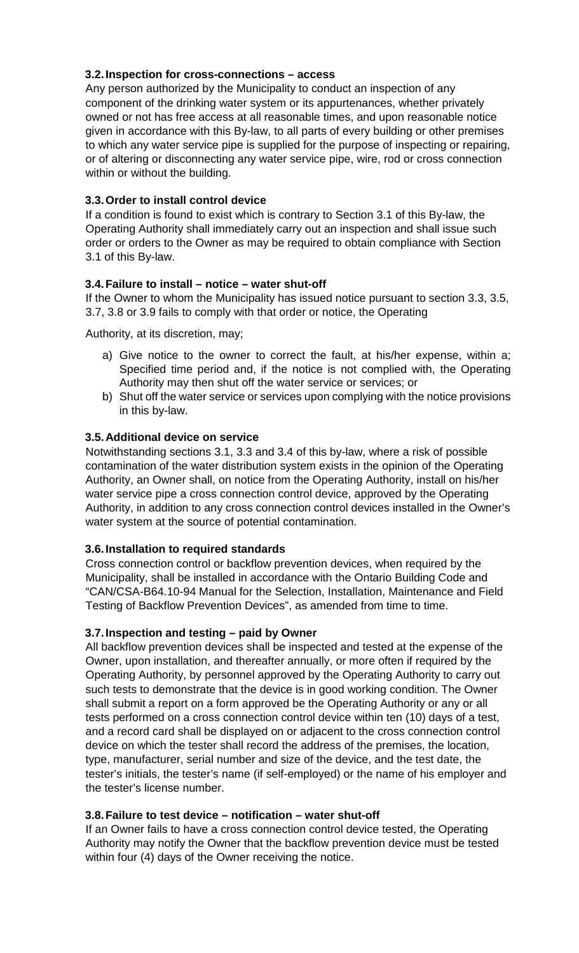## <span id="page-7-0"></span>**3.2.Inspection for cross-connections – access**

Any person authorized by the Municipality to conduct an inspection of any component of the drinking water system or its appurtenances, whether privately owned or not has free access at all reasonable times, and upon reasonable notice given in accordance with this By-law, to all parts of every building or other premises to which any water service pipe is supplied for the purpose of inspecting or repairing, or of altering or disconnecting any water service pipe, wire, rod or cross connection within or without the building.

## <span id="page-7-1"></span>**3.3.Order to install control device**

If a condition is found to exist which is contrary to Section 3.1 of this By-law, the Operating Authority shall immediately carry out an inspection and shall issue such order or orders to the Owner as may be required to obtain compliance with Section 3.1 of this By-law.

## <span id="page-7-2"></span>**3.4.Failure to install – notice – water shut-off**

If the Owner to whom the Municipality has issued notice pursuant to section 3.3, 3.5, 3.7, 3.8 or 3.9 fails to comply with that order or notice, the Operating

Authority, at its discretion, may;

- a) Give notice to the owner to correct the fault, at his/her expense, within a; Specified time period and, if the notice is not complied with, the Operating Authority may then shut off the water service or services; or
- b) Shut off the water service or services upon complying with the notice provisions in this by-law.

## <span id="page-7-3"></span>**3.5.Additional device on service**

Notwithstanding sections 3.1, 3.3 and 3.4 of this by-law, where a risk of possible contamination of the water distribution system exists in the opinion of the Operating Authority, an Owner shall, on notice from the Operating Authority, install on his/her water service pipe a cross connection control device, approved by the Operating Authority, in addition to any cross connection control devices installed in the Owner's water system at the source of potential contamination.

## <span id="page-7-4"></span>**3.6.Installation to required standards**

Cross connection control or backflow prevention devices, when required by the Municipality, shall be installed in accordance with the Ontario Building Code and "CAN/CSA-B64.10-94 Manual for the Selection, Installation, Maintenance and Field Testing of Backflow Prevention Devices", as amended from time to time.

## <span id="page-7-5"></span>**3.7.Inspection and testing – paid by Owner**

All backflow prevention devices shall be inspected and tested at the expense of the Owner, upon installation, and thereafter annually, or more often if required by the Operating Authority, by personnel approved by the Operating Authority to carry out such tests to demonstrate that the device is in good working condition. The Owner shall submit a report on a form approved be the Operating Authority or any or all tests performed on a cross connection control device within ten (10) days of a test, and a record card shall be displayed on or adjacent to the cross connection control device on which the tester shall record the address of the premises, the location, type, manufacturer, serial number and size of the device, and the test date, the tester's initials, the tester's name (if self-employed) or the name of his employer and the tester's license number.

## <span id="page-7-6"></span>**3.8.Failure to test device – notification – water shut-off**

If an Owner fails to have a cross connection control device tested, the Operating Authority may notify the Owner that the backflow prevention device must be tested within four (4) days of the Owner receiving the notice.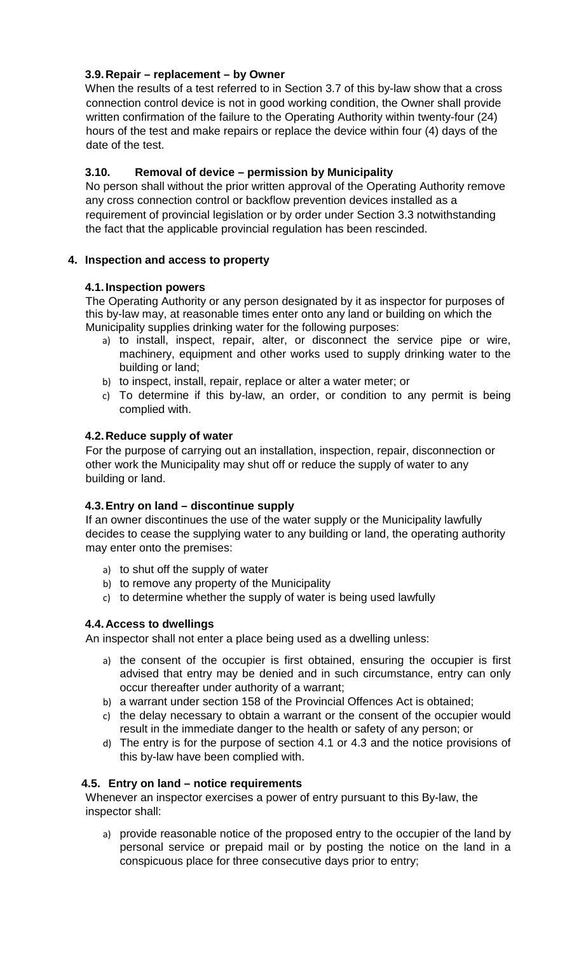## <span id="page-8-0"></span>**3.9.Repair – replacement – by Owner**

When the results of a test referred to in Section 3.7 of this by-law show that a cross connection control device is not in good working condition, the Owner shall provide written confirmation of the failure to the Operating Authority within twenty-four (24) hours of the test and make repairs or replace the device within four (4) days of the date of the test.

## <span id="page-8-1"></span>**3.10. Removal of device – permission by Municipality**

No person shall without the prior written approval of the Operating Authority remove any cross connection control or backflow prevention devices installed as a requirement of provincial legislation or by order under Section 3.3 notwithstanding the fact that the applicable provincial regulation has been rescinded.

## <span id="page-8-3"></span><span id="page-8-2"></span>**4. Inspection and access to property**

## **4.1.Inspection powers**

The Operating Authority or any person designated by it as inspector for purposes of this by-law may, at reasonable times enter onto any land or building on which the Municipality supplies drinking water for the following purposes:

- a) to install, inspect, repair, alter, or disconnect the service pipe or wire, machinery, equipment and other works used to supply drinking water to the building or land;
- b) to inspect, install, repair, replace or alter a water meter; or
- c) To determine if this by-law, an order, or condition to any permit is being complied with.

## <span id="page-8-4"></span>**4.2.Reduce supply of water**

For the purpose of carrying out an installation, inspection, repair, disconnection or other work the Municipality may shut off or reduce the supply of water to any building or land.

## <span id="page-8-5"></span>**4.3.Entry on land – discontinue supply**

If an owner discontinues the use of the water supply or the Municipality lawfully decides to cease the supplying water to any building or land, the operating authority may enter onto the premises:

- a) to shut off the supply of water
- b) to remove any property of the Municipality
- c) to determine whether the supply of water is being used lawfully

## <span id="page-8-6"></span>**4.4.Access to dwellings**

An inspector shall not enter a place being used as a dwelling unless:

- a) the consent of the occupier is first obtained, ensuring the occupier is first advised that entry may be denied and in such circumstance, entry can only occur thereafter under authority of a warrant;
- b) a warrant under section 158 of the Provincial Offences Act is obtained;
- c) the delay necessary to obtain a warrant or the consent of the occupier would result in the immediate danger to the health or safety of any person; or
- d) The entry is for the purpose of section 4.1 or 4.3 and the notice provisions of this by-law have been complied with.

## <span id="page-8-7"></span>**4.5. Entry on land – notice requirements**

Whenever an inspector exercises a power of entry pursuant to this By-law, the inspector shall:

a) provide reasonable notice of the proposed entry to the occupier of the land by personal service or prepaid mail or by posting the notice on the land in a conspicuous place for three consecutive days prior to entry;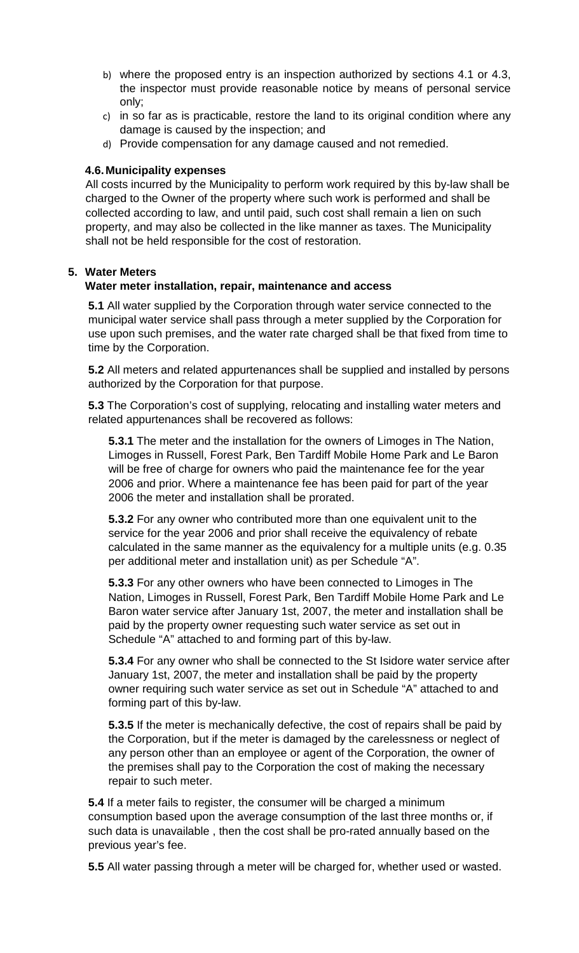- b) where the proposed entry is an inspection authorized by sections 4.1 or 4.3, the inspector must provide reasonable notice by means of personal service only;
- c) in so far as is practicable, restore the land to its original condition where any damage is caused by the inspection; and
- d) Provide compensation for any damage caused and not remedied.

## <span id="page-9-0"></span>**4.6.Municipality expenses**

All costs incurred by the Municipality to perform work required by this by-law shall be charged to the Owner of the property where such work is performed and shall be collected according to law, and until paid, such cost shall remain a lien on such property, and may also be collected in the like manner as taxes. The Municipality shall not be held responsible for the cost of restoration.

#### <span id="page-9-1"></span>**5. Water Meters**

## **Water meter installation, repair, maintenance and access**

**5.1** All water supplied by the Corporation through water service connected to the municipal water service shall pass through a meter supplied by the Corporation for use upon such premises, and the water rate charged shall be that fixed from time to time by the Corporation.

**5.2** All meters and related appurtenances shall be supplied and installed by persons authorized by the Corporation for that purpose.

**5.3** The Corporation's cost of supplying, relocating and installing water meters and related appurtenances shall be recovered as follows:

**5.3.1** The meter and the installation for the owners of Limoges in The Nation, Limoges in Russell, Forest Park, Ben Tardiff Mobile Home Park and Le Baron will be free of charge for owners who paid the maintenance fee for the year 2006 and prior. Where a maintenance fee has been paid for part of the year 2006 the meter and installation shall be prorated.

**5.3.2** For any owner who contributed more than one equivalent unit to the service for the year 2006 and prior shall receive the equivalency of rebate calculated in the same manner as the equivalency for a multiple units (e.g. 0.35 per additional meter and installation unit) as per Schedule "A".

**5.3.3** For any other owners who have been connected to Limoges in The Nation, Limoges in Russell, Forest Park, Ben Tardiff Mobile Home Park and Le Baron water service after January 1st, 2007, the meter and installation shall be paid by the property owner requesting such water service as set out in Schedule "A" attached to and forming part of this by-law.

**5.3.4** For any owner who shall be connected to the St Isidore water service after January 1st, 2007, the meter and installation shall be paid by the property owner requiring such water service as set out in Schedule "A" attached to and forming part of this by-law.

**5.3.5** If the meter is mechanically defective, the cost of repairs shall be paid by the Corporation, but if the meter is damaged by the carelessness or neglect of any person other than an employee or agent of the Corporation, the owner of the premises shall pay to the Corporation the cost of making the necessary repair to such meter.

**5.4** If a meter fails to register, the consumer will be charged a minimum consumption based upon the average consumption of the last three months or, if such data is unavailable , then the cost shall be pro-rated annually based on the previous year's fee.

**5.5** All water passing through a meter will be charged for, whether used or wasted.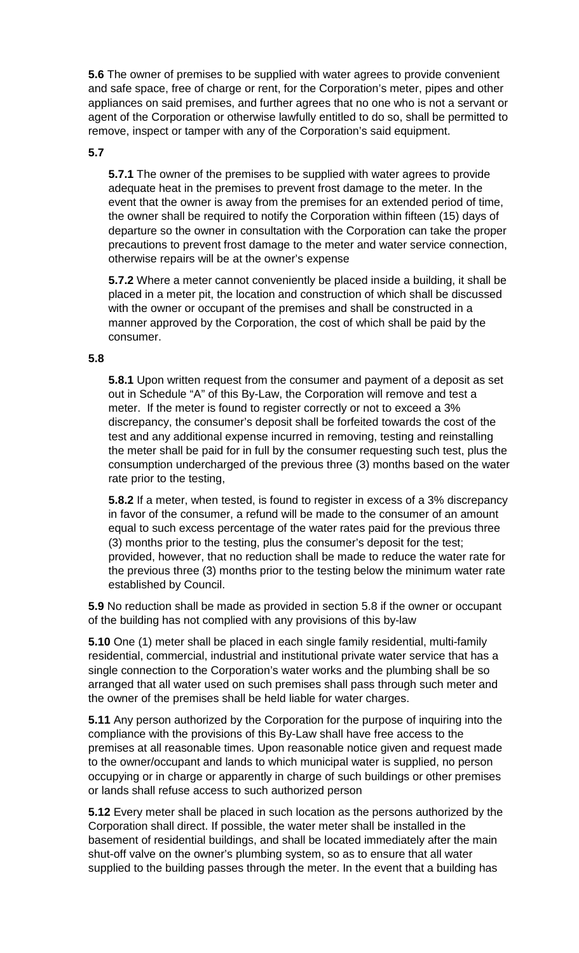**5.6** The owner of premises to be supplied with water agrees to provide convenient and safe space, free of charge or rent, for the Corporation's meter, pipes and other appliances on said premises, and further agrees that no one who is not a servant or agent of the Corporation or otherwise lawfully entitled to do so, shall be permitted to remove, inspect or tamper with any of the Corporation's said equipment.

#### **5.7**

**5.7.1** The owner of the premises to be supplied with water agrees to provide adequate heat in the premises to prevent frost damage to the meter. In the event that the owner is away from the premises for an extended period of time, the owner shall be required to notify the Corporation within fifteen (15) days of departure so the owner in consultation with the Corporation can take the proper precautions to prevent frost damage to the meter and water service connection, otherwise repairs will be at the owner's expense

**5.7.2** Where a meter cannot conveniently be placed inside a building, it shall be placed in a meter pit, the location and construction of which shall be discussed with the owner or occupant of the premises and shall be constructed in a manner approved by the Corporation, the cost of which shall be paid by the consumer.

#### **5.8**

**5.8.1** Upon written request from the consumer and payment of a deposit as set out in Schedule "A" of this By-Law, the Corporation will remove and test a meter. If the meter is found to register correctly or not to exceed a 3% discrepancy, the consumer's deposit shall be forfeited towards the cost of the test and any additional expense incurred in removing, testing and reinstalling the meter shall be paid for in full by the consumer requesting such test, plus the consumption undercharged of the previous three (3) months based on the water rate prior to the testing,

**5.8.2** If a meter, when tested, is found to register in excess of a 3% discrepancy in favor of the consumer, a refund will be made to the consumer of an amount equal to such excess percentage of the water rates paid for the previous three (3) months prior to the testing, plus the consumer's deposit for the test; provided, however, that no reduction shall be made to reduce the water rate for the previous three (3) months prior to the testing below the minimum water rate established by Council.

**5.9** No reduction shall be made as provided in section 5.8 if the owner or occupant of the building has not complied with any provisions of this by-law

**5.10** One (1) meter shall be placed in each single family residential, multi-family residential, commercial, industrial and institutional private water service that has a single connection to the Corporation's water works and the plumbing shall be so arranged that all water used on such premises shall pass through such meter and the owner of the premises shall be held liable for water charges.

**5.11** Any person authorized by the Corporation for the purpose of inquiring into the compliance with the provisions of this By-Law shall have free access to the premises at all reasonable times. Upon reasonable notice given and request made to the owner/occupant and lands to which municipal water is supplied, no person occupying or in charge or apparently in charge of such buildings or other premises or lands shall refuse access to such authorized person

**5.12** Every meter shall be placed in such location as the persons authorized by the Corporation shall direct. If possible, the water meter shall be installed in the basement of residential buildings, and shall be located immediately after the main shut-off valve on the owner's plumbing system, so as to ensure that all water supplied to the building passes through the meter. In the event that a building has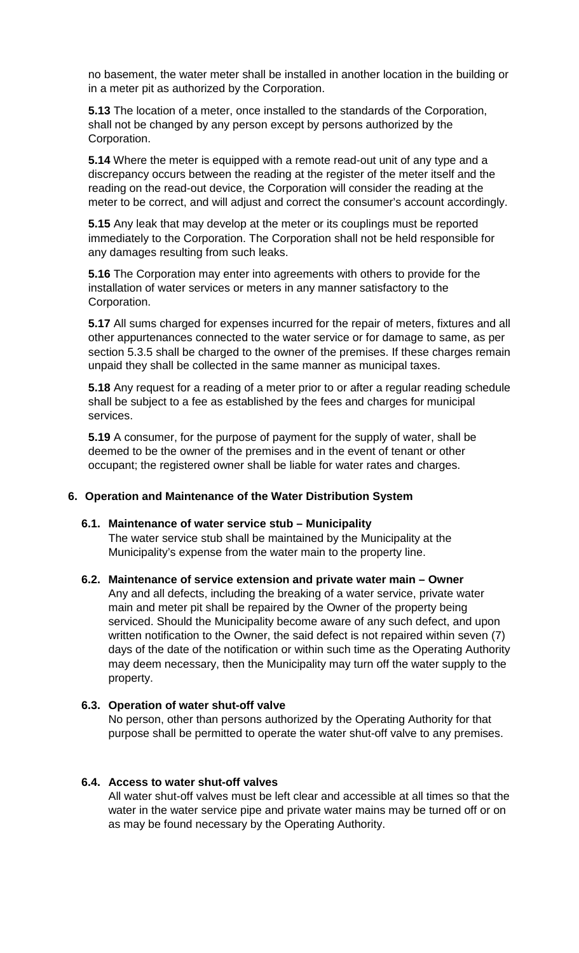no basement, the water meter shall be installed in another location in the building or in a meter pit as authorized by the Corporation.

**5.13** The location of a meter, once installed to the standards of the Corporation, shall not be changed by any person except by persons authorized by the Corporation.

**5.14** Where the meter is equipped with a remote read-out unit of any type and a discrepancy occurs between the reading at the register of the meter itself and the reading on the read-out device, the Corporation will consider the reading at the meter to be correct, and will adjust and correct the consumer's account accordingly.

**5.15** Any leak that may develop at the meter or its couplings must be reported immediately to the Corporation. The Corporation shall not be held responsible for any damages resulting from such leaks.

**5.16** The Corporation may enter into agreements with others to provide for the installation of water services or meters in any manner satisfactory to the Corporation.

**5.17** All sums charged for expenses incurred for the repair of meters, fixtures and all other appurtenances connected to the water service or for damage to same, as per section 5.3.5 shall be charged to the owner of the premises. If these charges remain unpaid they shall be collected in the same manner as municipal taxes.

**5.18** Any request for a reading of a meter prior to or after a regular reading schedule shall be subject to a fee as established by the fees and charges for municipal services.

**5.19** A consumer, for the purpose of payment for the supply of water, shall be deemed to be the owner of the premises and in the event of tenant or other occupant; the registered owner shall be liable for water rates and charges.

#### <span id="page-11-0"></span>**6. Operation and Maintenance of the Water Distribution System**

#### <span id="page-11-1"></span>**6.1. Maintenance of water service stub – Municipality**

The water service stub shall be maintained by the Municipality at the Municipality's expense from the water main to the property line.

<span id="page-11-2"></span>**6.2. Maintenance of service extension and private water main – Owner**  Any and all defects, including the breaking of a water service, private water main and meter pit shall be repaired by the Owner of the property being serviced. Should the Municipality become aware of any such defect, and upon written notification to the Owner, the said defect is not repaired within seven (7) days of the date of the notification or within such time as the Operating Authority may deem necessary, then the Municipality may turn off the water supply to the property.

#### <span id="page-11-3"></span>**6.3. Operation of water shut-off valve**

No person, other than persons authorized by the Operating Authority for that purpose shall be permitted to operate the water shut-off valve to any premises.

#### <span id="page-11-4"></span>**6.4. Access to water shut-off valves**

All water shut-off valves must be left clear and accessible at all times so that the water in the water service pipe and private water mains may be turned off or on as may be found necessary by the Operating Authority.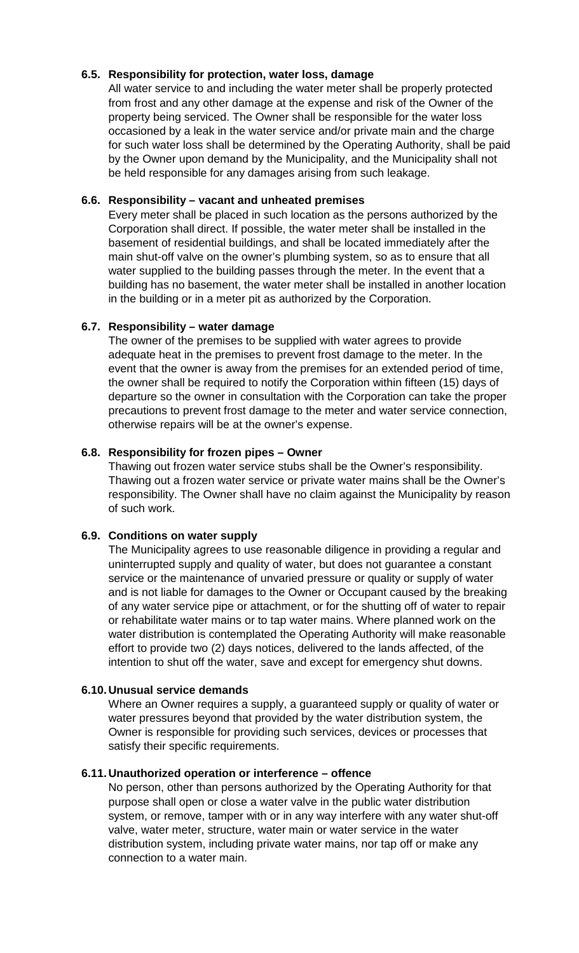## <span id="page-12-0"></span>**6.5. Responsibility for protection, water loss, damage**

All water service to and including the water meter shall be properly protected from frost and any other damage at the expense and risk of the Owner of the property being serviced. The Owner shall be responsible for the water loss occasioned by a leak in the water service and/or private main and the charge for such water loss shall be determined by the Operating Authority, shall be paid by the Owner upon demand by the Municipality, and the Municipality shall not be held responsible for any damages arising from such leakage.

## <span id="page-12-1"></span>**6.6. Responsibility – vacant and unheated premises**

Every meter shall be placed in such location as the persons authorized by the Corporation shall direct. If possible, the water meter shall be installed in the basement of residential buildings, and shall be located immediately after the main shut-off valve on the owner's plumbing system, so as to ensure that all water supplied to the building passes through the meter. In the event that a building has no basement, the water meter shall be installed in another location in the building or in a meter pit as authorized by the Corporation.

## <span id="page-12-2"></span>**6.7. Responsibility – water damage**

The owner of the premises to be supplied with water agrees to provide adequate heat in the premises to prevent frost damage to the meter. In the event that the owner is away from the premises for an extended period of time, the owner shall be required to notify the Corporation within fifteen (15) days of departure so the owner in consultation with the Corporation can take the proper precautions to prevent frost damage to the meter and water service connection, otherwise repairs will be at the owner's expense.

## <span id="page-12-3"></span>**6.8. Responsibility for frozen pipes – Owner**

Thawing out frozen water service stubs shall be the Owner's responsibility. Thawing out a frozen water service or private water mains shall be the Owner's responsibility. The Owner shall have no claim against the Municipality by reason of such work.

## <span id="page-12-4"></span>**6.9. Conditions on water supply**

The Municipality agrees to use reasonable diligence in providing a regular and uninterrupted supply and quality of water, but does not guarantee a constant service or the maintenance of unvaried pressure or quality or supply of water and is not liable for damages to the Owner or Occupant caused by the breaking of any water service pipe or attachment, or for the shutting off of water to repair or rehabilitate water mains or to tap water mains. Where planned work on the water distribution is contemplated the Operating Authority will make reasonable effort to provide two (2) days notices, delivered to the lands affected, of the intention to shut off the water, save and except for emergency shut downs.

## <span id="page-12-5"></span>**6.10.Unusual service demands**

Where an Owner requires a supply, a guaranteed supply or quality of water or water pressures beyond that provided by the water distribution system, the Owner is responsible for providing such services, devices or processes that satisfy their specific requirements.

## <span id="page-12-6"></span>**6.11.Unauthorized operation or interference – offence**

No person, other than persons authorized by the Operating Authority for that purpose shall open or close a water valve in the public water distribution system, or remove, tamper with or in any way interfere with any water shut-off valve, water meter, structure, water main or water service in the water distribution system, including private water mains, nor tap off or make any connection to a water main.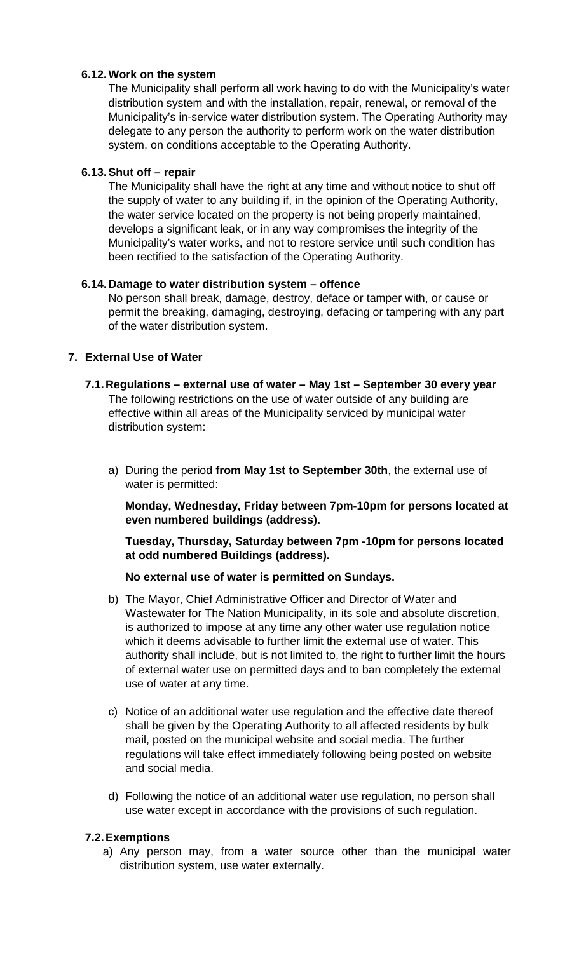## <span id="page-13-0"></span>**6.12.Work on the system**

The Municipality shall perform all work having to do with the Municipality's water distribution system and with the installation, repair, renewal, or removal of the Municipality's in-service water distribution system. The Operating Authority may delegate to any person the authority to perform work on the water distribution system, on conditions acceptable to the Operating Authority.

## <span id="page-13-1"></span>**6.13.Shut off – repair**

The Municipality shall have the right at any time and without notice to shut off the supply of water to any building if, in the opinion of the Operating Authority, the water service located on the property is not being properly maintained, develops a significant leak, or in any way compromises the integrity of the Municipality's water works, and not to restore service until such condition has been rectified to the satisfaction of the Operating Authority.

## <span id="page-13-2"></span>**6.14.Damage to water distribution system – offence**

No person shall break, damage, destroy, deface or tamper with, or cause or permit the breaking, damaging, destroying, defacing or tampering with any part of the water distribution system.

## <span id="page-13-4"></span><span id="page-13-3"></span>**7. External Use of Water**

## **7.1.Regulations – external use of water – May 1st – September 30 every year** The following restrictions on the use of water outside of any building are effective within all areas of the Municipality serviced by municipal water distribution system:

a) During the period **from May 1st to September 30th**, the external use of water is permitted:

**Monday, Wednesday, Friday between 7pm-10pm for persons located at even numbered buildings (address).**

**Tuesday, Thursday, Saturday between 7pm -10pm for persons located at odd numbered Buildings (address).**

## **No external use of water is permitted on Sundays.**

- b) The Mayor, Chief Administrative Officer and Director of Water and Wastewater for The Nation Municipality, in its sole and absolute discretion, is authorized to impose at any time any other water use regulation notice which it deems advisable to further limit the external use of water. This authority shall include, but is not limited to, the right to further limit the hours of external water use on permitted days and to ban completely the external use of water at any time.
- c) Notice of an additional water use regulation and the effective date thereof shall be given by the Operating Authority to all affected residents by bulk mail, posted on the municipal website and social media. The further regulations will take effect immediately following being posted on website and social media.
- d) Following the notice of an additional water use regulation, no person shall use water except in accordance with the provisions of such regulation.

## <span id="page-13-5"></span>**7.2.Exemptions**

a) Any person may, from a water source other than the municipal water distribution system, use water externally.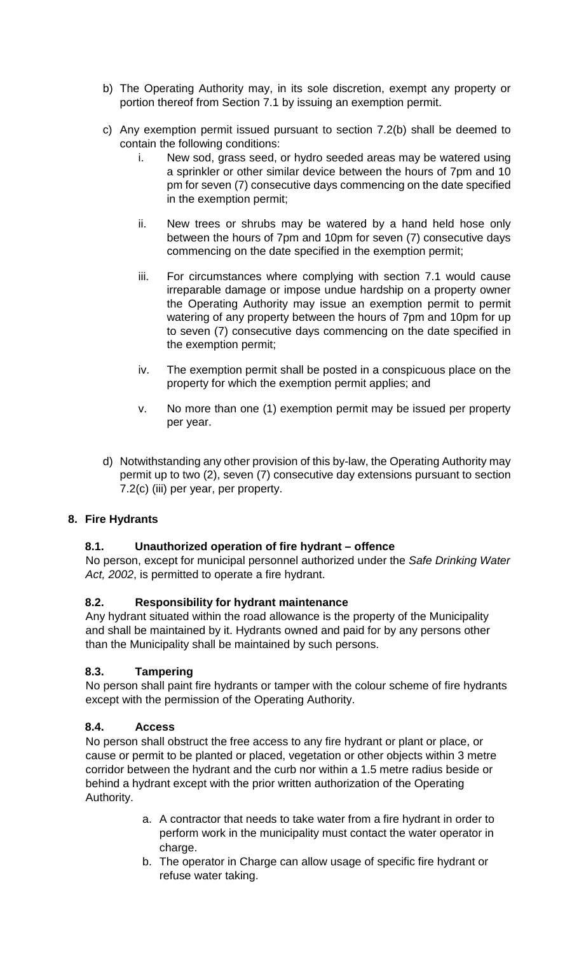- b) The Operating Authority may, in its sole discretion, exempt any property or portion thereof from Section 7.1 by issuing an exemption permit.
- c) Any exemption permit issued pursuant to section 7.2(b) shall be deemed to contain the following conditions:
	- i. New sod, grass seed, or hydro seeded areas may be watered using a sprinkler or other similar device between the hours of 7pm and 10 pm for seven (7) consecutive days commencing on the date specified in the exemption permit;
	- ii. New trees or shrubs may be watered by a hand held hose only between the hours of 7pm and 10pm for seven (7) consecutive days commencing on the date specified in the exemption permit;
	- iii. For circumstances where complying with section 7.1 would cause irreparable damage or impose undue hardship on a property owner the Operating Authority may issue an exemption permit to permit watering of any property between the hours of 7pm and 10pm for up to seven (7) consecutive days commencing on the date specified in the exemption permit;
	- iv. The exemption permit shall be posted in a conspicuous place on the property for which the exemption permit applies; and
	- v. No more than one (1) exemption permit may be issued per property per year.
- d) Notwithstanding any other provision of this by-law, the Operating Authority may permit up to two (2), seven (7) consecutive day extensions pursuant to section 7.2(c) (iii) per year, per property.

## <span id="page-14-1"></span><span id="page-14-0"></span>**8. Fire Hydrants**

## **8.1. Unauthorized operation of fire hydrant – offence**

No person, except for municipal personnel authorized under the *Safe Drinking Water Act, 2002*, is permitted to operate a fire hydrant.

## <span id="page-14-2"></span>**8.2. Responsibility for hydrant maintenance**

Any hydrant situated within the road allowance is the property of the Municipality and shall be maintained by it. Hydrants owned and paid for by any persons other than the Municipality shall be maintained by such persons.

## <span id="page-14-3"></span>**8.3. Tampering**

No person shall paint fire hydrants or tamper with the colour scheme of fire hydrants except with the permission of the Operating Authority.

## <span id="page-14-4"></span>**8.4. Access**

No person shall obstruct the free access to any fire hydrant or plant or place, or cause or permit to be planted or placed, vegetation or other objects within 3 metre corridor between the hydrant and the curb nor within a 1.5 metre radius beside or behind a hydrant except with the prior written authorization of the Operating Authority.

- a. A contractor that needs to take water from a fire hydrant in order to perform work in the municipality must contact the water operator in charge.
- b. The operator in Charge can allow usage of specific fire hydrant or refuse water taking.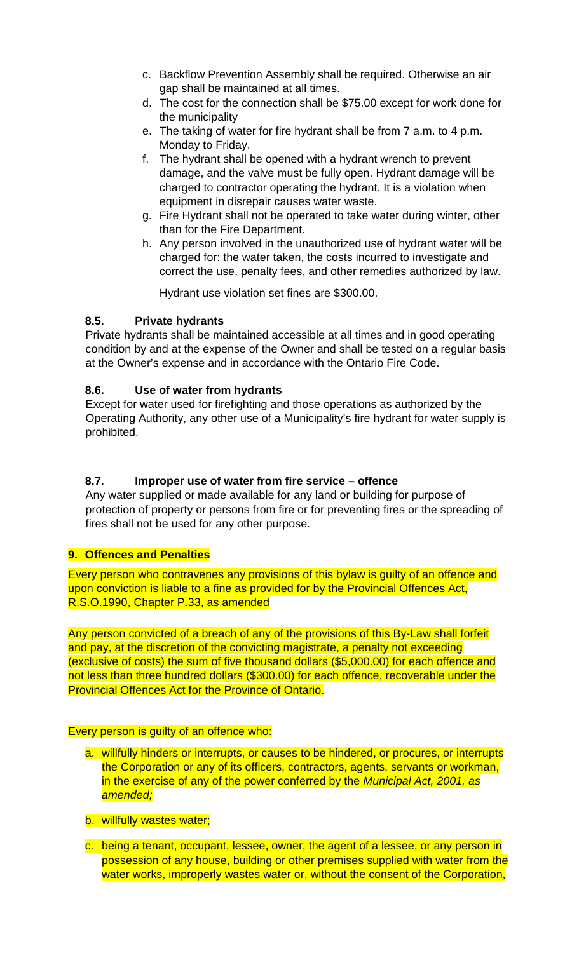- c. Backflow Prevention Assembly shall be required. Otherwise an air gap shall be maintained at all times.
- d. The cost for the connection shall be \$75.00 except for work done for the municipality
- e. The taking of water for fire hydrant shall be from 7 a.m. to 4 p.m. Monday to Friday.
- f. The hydrant shall be opened with a hydrant wrench to prevent damage, and the valve must be fully open. Hydrant damage will be charged to contractor operating the hydrant. It is a violation when equipment in disrepair causes water waste.
- g. Fire Hydrant shall not be operated to take water during winter, other than for the Fire Department.
- h. Any person involved in the unauthorized use of hydrant water will be charged for: the water taken, the costs incurred to investigate and correct the use, penalty fees, and other remedies authorized by law.

Hydrant use violation set fines are \$300.00.

## <span id="page-15-0"></span>**8.5. Private hydrants**

Private hydrants shall be maintained accessible at all times and in good operating condition by and at the expense of the Owner and shall be tested on a regular basis at the Owner's expense and in accordance with the Ontario Fire Code.

## <span id="page-15-1"></span>**8.6. Use of water from hydrants**

Except for water used for firefighting and those operations as authorized by the Operating Authority, any other use of a Municipality's fire hydrant for water supply is prohibited.

## <span id="page-15-2"></span>**8.7. Improper use of water from fire service – offence**

Any water supplied or made available for any land or building for purpose of protection of property or persons from fire or for preventing fires or the spreading of fires shall not be used for any other purpose.

## <span id="page-15-3"></span>**9. Offences and Penalties**

Every person who contravenes any provisions of this bylaw is guilty of an offence and upon conviction is liable to a fine as provided for by the Provincial Offences Act, R.S.O.1990, Chapter P.33, as amended

Any person convicted of a breach of any of the provisions of this By-Law shall forfeit and pay, at the discretion of the convicting magistrate, a penalty not exceeding (exclusive of costs) the sum of five thousand dollars (\$5,000.00) for each offence and not less than three hundred dollars (\$300.00) for each offence, recoverable under the Provincial Offences Act for the Province of Ontario.

## Every person is guilty of an offence who:

- a. willfully hinders or interrupts, or causes to be hindered, or procures, or interrupts the Corporation or any of its officers, contractors, agents, servants or workman, in the exercise of any of the power conferred by the *Municipal Act, 2001, as amended;*
- b. willfully wastes water;
- c. being a tenant, occupant, lessee, owner, the agent of a lessee, or any person in possession of any house, building or other premises supplied with water from the water works, improperly wastes water or, without the consent of the Corporation,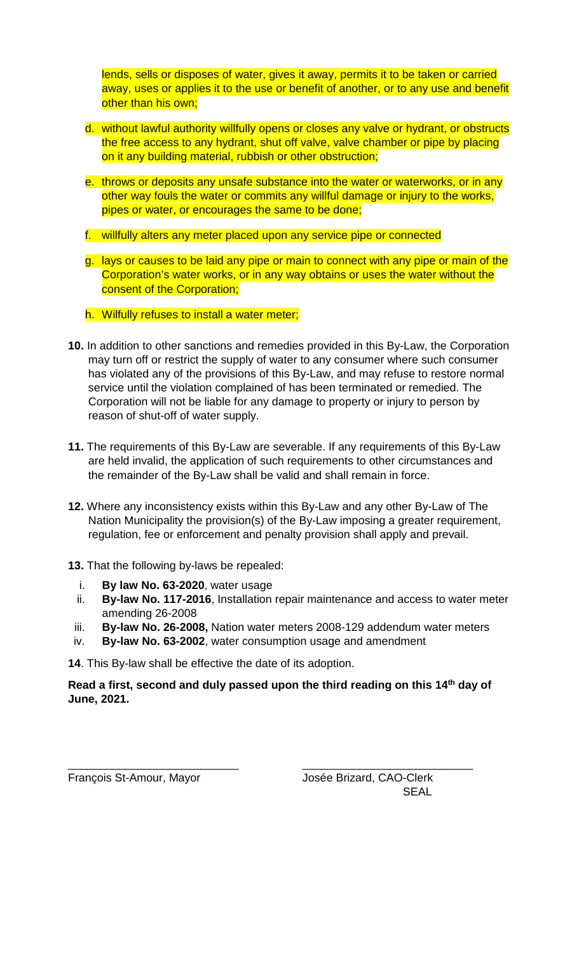lends, sells or disposes of water, gives it away, permits it to be taken or carried away, uses or applies it to the use or benefit of another, or to any use and benefit other than his own;

- d. without lawful authority willfully opens or closes any valve or hydrant, or obstructs the free access to any hydrant, shut off valve, valve chamber or pipe by placing on it any building material, rubbish or other obstruction;
- e. throws or deposits any unsafe substance into the water or waterworks, or in any other way fouls the water or commits any willful damage or injury to the works, pipes or water, or encourages the same to be done;
- f. willfully alters any meter placed upon any service pipe or connected
- g. lays or causes to be laid any pipe or main to connect with any pipe or main of the Corporation's water works, or in any way obtains or uses the water without the consent of the Corporation;
- h. Wilfully refuses to install a water meter;
- <span id="page-16-0"></span>**10.** In addition to other sanctions and remedies provided in this By-Law, the Corporation may turn off or restrict the supply of water to any consumer where such consumer has violated any of the provisions of this By-Law, and may refuse to restore normal service until the violation complained of has been terminated or remedied. The Corporation will not be liable for any damage to property or injury to person by reason of shut-off of water supply.
- <span id="page-16-1"></span>**11.** The requirements of this By-Law are severable. If any requirements of this By-Law are held invalid, the application of such requirements to other circumstances and the remainder of the By-Law shall be valid and shall remain in force.
- <span id="page-16-2"></span>**12.** Where any inconsistency exists within this By-Law and any other By-Law of The Nation Municipality the provision(s) of the By-Law imposing a greater requirement, regulation, fee or enforcement and penalty provision shall apply and prevail.
- <span id="page-16-3"></span>**13.** That the following by-laws be repealed:
	- i. **By law No. 63-2020**, water usage
	- ii. **By-law No. 117-2016**, Installation repair maintenance and access to water meter amending 26-2008
- iii. **By-law No. 26-2008,** Nation water meters 2008-129 addendum water meters
- iv. **By-law No. 63-2002**, water consumption usage and amendment

**14**. This By-law shall be effective the date of its adoption.

**Read a first, second and duly passed upon the third reading on this 14th day of June, 2021.**

\_\_\_\_\_\_\_\_\_\_\_\_\_\_\_\_\_\_\_\_\_\_\_\_\_\_\_ \_\_\_\_\_\_\_\_\_\_\_\_\_\_\_\_\_\_\_\_\_\_\_\_\_\_\_ François St-Amour, Mayor **International Standard**, CAO-Clerk **SFAL**